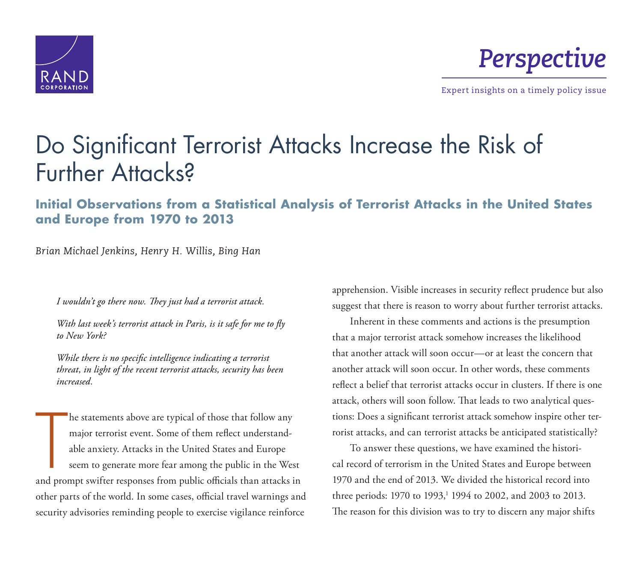

*Perspective*

Expert insights on a timely policy issue

# [Do Significant Terrorist Attacks Increase the Risk of](http://www.rand.org/pubs/perspectives/PE173.html)  Further Attacks?

**Initial Observations from a Statistical Analysis of Terrorist Attacks in the United States and Europe from 1970 to 2013**

*Brian Michael Jenkins, Henry H. Willis, Bing Han*

*I wouldn't go there now. They just had a terrorist attack.* 

*With last week's terrorist attack in Paris, is it safe for me to fly to New York?* 

*While there is no specific intelligence indicating a terrorist threat, in light of the recent terrorist attacks, security has been increased.* 

he statements above are typical of those that follow any<br>major terrorist event. Some of them reflect understand-<br>able anxiety. Attacks in the United States and Europe<br>seem to generate more fear among the public in the West he statements above are typical of those that follow any major terrorist event. Some of them reflect understandable anxiety. Attacks in the United States and Europe seem to generate more fear among the public in the West other parts of the world. In some cases, official travel warnings and security advisories reminding people to exercise vigilance reinforce

apprehension. Visible increases in security reflect prudence but also suggest that there is reason to worry about further terrorist attacks.

Inherent in these comments and actions is the presumption that a major terrorist attack somehow increases the likelihood that another attack will soon occur—or at least the concern that another attack will soon occur. In other words, these comments reflect a belief that terrorist attacks occur in clusters. If there is one attack, others will soon follow. That leads to two analytical questions: Does a significant terrorist attack somehow inspire other terrorist attacks, and can terrorist attacks be anticipated statistically?

To answer these questions, we have examined the historical record of terrorism in the United States and Europe between 1970 and the end of 2013. We divided the historical record into three periods: 1970 to 1993,<sup>1</sup> 1994 to 2002, and 2003 to 2013. The reason for this division was to try to discern any major shifts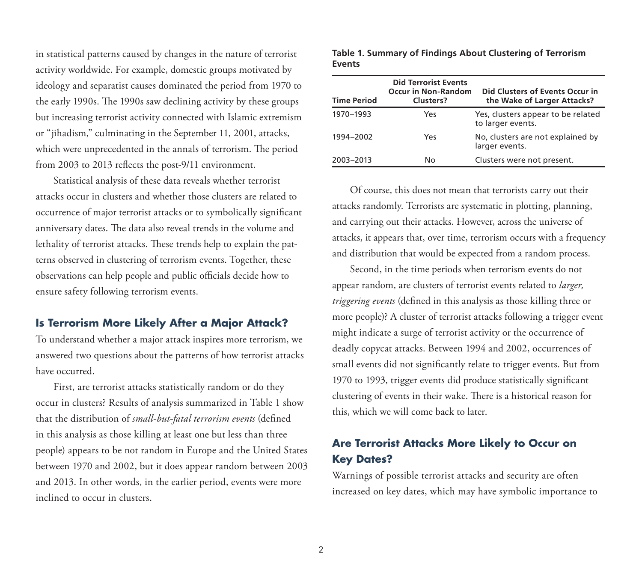in statistical patterns caused by changes in the nature of terrorist activity worldwide. For example, domestic groups motivated by ideology and separatist causes dominated the period from 1970 to the early 1990s. The 1990s saw declining activity by these groups but increasing terrorist activity connected with Islamic extremism or "jihadism," culminating in the September 11, 2001, attacks, which were unprecedented in the annals of terrorism. The period from 2003 to 2013 reflects the post-9/11 environment.

Statistical analysis of these data reveals whether terrorist attacks occur in clusters and whether those clusters are related to occurrence of major terrorist attacks or to symbolically significant anniversary dates. The data also reveal trends in the volume and lethality of terrorist attacks. These trends help to explain the patterns observed in clustering of terrorism events. Together, these observations can help people and public officials decide how to ensure safety following terrorism events.

#### **Is Terrorism More Likely After a Major Attack?**

To understand whether a major attack inspires more terrorism, we answered two questions about the patterns of how terrorist attacks have occurred.

First, are terrorist attacks statistically random or do they occur in clusters? Results of analysis summarized in Table 1 show that the distribution of *small-but-fatal terrorism events* (defined in this analysis as those killing at least one but less than three people) appears to be not random in Europe and the United States between 1970 and 2002, but it does appear random between 2003 and 2013. In other words, in the earlier period, events were more inclined to occur in clusters.

| <b>Time Period</b> | <b>Did Terrorist Events</b><br><b>Occur in Non-Random</b><br>Clusters? | Did Clusters of Events Occur in<br>the Wake of Larger Attacks? |
|--------------------|------------------------------------------------------------------------|----------------------------------------------------------------|
| 1970-1993          | Yes                                                                    | Yes, clusters appear to be related<br>to larger events.        |
| 1994-2002          | Yes                                                                    | No, clusters are not explained by<br>larger events.            |
| 2003-2013          | No                                                                     | Clusters were not present.                                     |

**Table 1. Summary of Findings About Clustering of Terrorism Events**

Of course, this does not mean that terrorists carry out their attacks randomly. Terrorists are systematic in plotting, planning, and carrying out their attacks. However, across the universe of attacks, it appears that, over time, terrorism occurs with a frequency and distribution that would be expected from a random process.

Second, in the time periods when terrorism events do not appear random, are clusters of terrorist events related to *larger, triggering events* (defined in this analysis as those killing three or more people)? A cluster of terrorist attacks following a trigger event might indicate a surge of terrorist activity or the occurrence of deadly copycat attacks. Between 1994 and 2002, occurrences of small events did not significantly relate to trigger events. But from 1970 to 1993, trigger events did produce statistically significant clustering of events in their wake. There is a historical reason for this, which we will come back to later.

### **Are Terrorist Attacks More Likely to Occur on Key Dates?**

Warnings of possible terrorist attacks and security are often increased on key dates, which may have symbolic importance to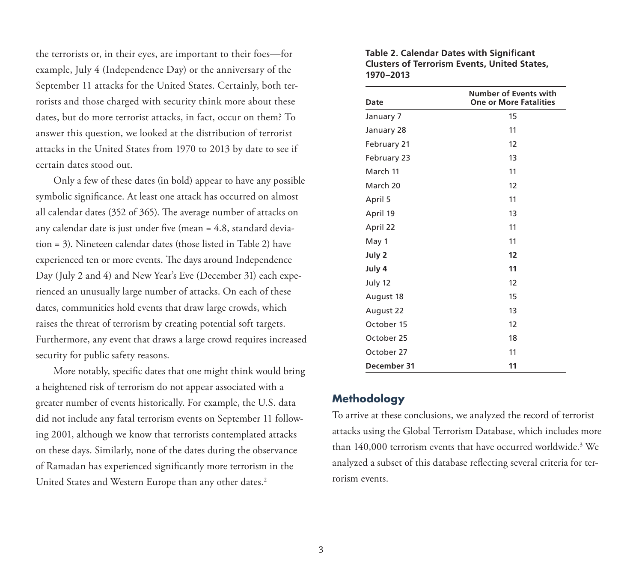the terrorists or, in their eyes, are important to their foes—for example, July 4 (Independence Day) or the anniversary of the September 11 attacks for the United States. Certainly, both terrorists and those charged with security think more about these dates, but do more terrorist attacks, in fact, occur on them? To answer this question, we looked at the distribution of terrorist attacks in the United States from 1970 to 2013 by date to see if certain dates stood out.

Only a few of these dates (in bold) appear to have any possible symbolic significance. At least one attack has occurred on almost all calendar dates (352 of 365). The average number of attacks on any calendar date is just under five (mean = 4.8, standard deviation = 3). Nineteen calendar dates (those listed in Table 2) have experienced ten or more events. The days around Independence Day (July 2 and 4) and New Year's Eve (December 31) each experienced an unusually large number of attacks. On each of these dates, communities hold events that draw large crowds, which raises the threat of terrorism by creating potential soft targets. Furthermore, any event that draws a large crowd requires increased security for public safety reasons.

More notably, specific dates that one might think would bring a heightened risk of terrorism do not appear associated with a greater number of events historically. For example, the U.S. data did not include any fatal terrorism events on September 11 following 2001, although we know that terrorists contemplated attacks on these days. Similarly, none of the dates during the observance of Ramadan has experienced significantly more terrorism in the United States and Western Europe than any other dates.<sup>2</sup>

| Table 2. Calendar Dates with Significant            |
|-----------------------------------------------------|
| <b>Clusters of Terrorism Events, United States,</b> |
| 1970–2013                                           |

| <b>Date</b> | <b>Number of Events with</b><br><b>One or More Fatalities</b> |
|-------------|---------------------------------------------------------------|
| January 7   | 15                                                            |
| January 28  | 11                                                            |
| February 21 | 12                                                            |
| February 23 | 13                                                            |
| March 11    | 11                                                            |
| March 20    | 12                                                            |
| April 5     | 11                                                            |
| April 19    | 13                                                            |
| April 22    | 11                                                            |
| May 1       | 11                                                            |
| July 2      | 12                                                            |
| July 4      | 11                                                            |
| July 12     | 12                                                            |
| August 18   | 15                                                            |
| August 22   | 13                                                            |
| October 15  | 12                                                            |
| October 25  | 18                                                            |
| October 27  | 11                                                            |
| December 31 | 11                                                            |

#### **Methodology**

To arrive at these conclusions, we analyzed the record of terrorist attacks using the Global Terrorism Database, which includes more than 140,000 terrorism events that have occurred worldwide.3 We analyzed a subset of this database reflecting several criteria for terrorism events.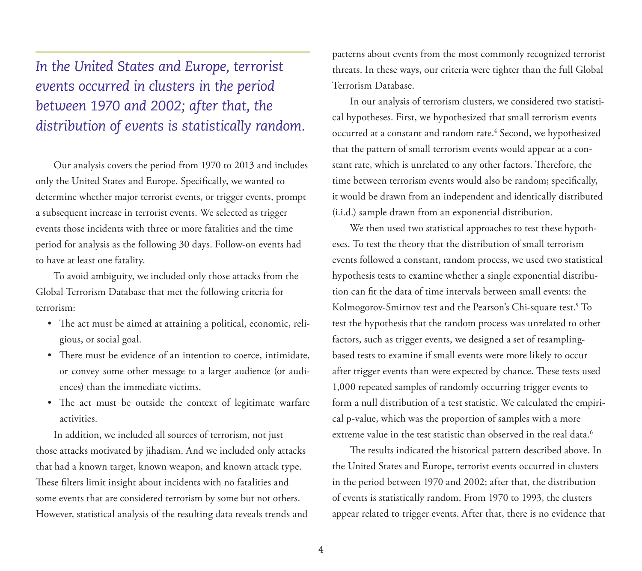# *In the United States and Europe, terrorist events occurred in clusters in the period between 1970 and 2002; after that, the distribution of events is statistically random.*

Our analysis covers the period from 1970 to 2013 and includes only the United States and Europe. Specifically, we wanted to determine whether major terrorist events, or trigger events, prompt a subsequent increase in terrorist events. We selected as trigger events those incidents with three or more fatalities and the time period for analysis as the following 30 days. Follow-on events had to have at least one fatality.

To avoid ambiguity, we included only those attacks from the Global Terrorism Database that met the following criteria for terrorism:

- The act must be aimed at attaining a political, economic, religious, or social goal.
- There must be evidence of an intention to coerce, intimidate, or convey some other message to a larger audience (or audiences) than the immediate victims.
- The act must be outside the context of legitimate warfare activities.

In addition, we included all sources of terrorism, not just those attacks motivated by jihadism. And we included only attacks that had a known target, known weapon, and known attack type. These filters limit insight about incidents with no fatalities and some events that are considered terrorism by some but not others. However, statistical analysis of the resulting data reveals trends and patterns about events from the most commonly recognized terrorist threats. In these ways, our criteria were tighter than the full Global Terrorism Database.

In our analysis of terrorism clusters, we considered two statistical hypotheses. First, we hypothesized that small terrorism events occurred at a constant and random rate.<sup>4</sup> Second, we hypothesized that the pattern of small terrorism events would appear at a constant rate, which is unrelated to any other factors. Therefore, the time between terrorism events would also be random; specifically, it would be drawn from an independent and identically distributed (i.i.d.) sample drawn from an exponential distribution.

We then used two statistical approaches to test these hypotheses. To test the theory that the distribution of small terrorism events followed a constant, random process, we used two statistical hypothesis tests to examine whether a single exponential distribution can fit the data of time intervals between small events: the Kolmogorov-Smirnov test and the Pearson's Chi-square test.5 To test the hypothesis that the random process was unrelated to other factors, such as trigger events, we designed a set of resamplingbased tests to examine if small events were more likely to occur after trigger events than were expected by chance. These tests used 1,000 repeated samples of randomly occurring trigger events to form a null distribution of a test statistic. We calculated the empirical p-value, which was the proportion of samples with a more extreme value in the test statistic than observed in the real data.<sup>6</sup>

The results indicated the historical pattern described above. In the United States and Europe, terrorist events occurred in clusters in the period between 1970 and 2002; after that, the distribution of events is statistically random. From 1970 to 1993, the clusters appear related to trigger events. After that, there is no evidence that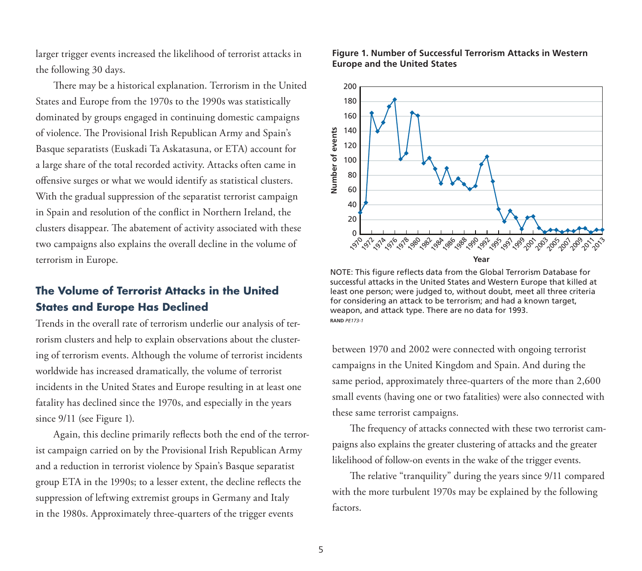larger trigger events increased the likelihood of terrorist attacks in the following 30 days.

There may be a historical explanation. Terrorism in the United States and Europe from the 1970s to the 1990s was statistically dominated by groups engaged in continuing domestic campaigns of violence. The Provisional Irish Republican Army and Spain's Basque separatists (Euskadi Ta Askatasuna, or ETA) account for a large share of the total recorded activity. Attacks often came in offensive surges or what we would identify as statistical clusters. With the gradual suppression of the separatist terrorist campaign in Spain and resolution of the conflict in Northern Ireland, the clusters disappear. The abatement of activity associated with these two campaigns also explains the overall decline in the volume of terrorism in Europe.

### **The Volume of Terrorist Attacks in the United States and Europe Has Declined**

Trends in the overall rate of terrorism underlie our analysis of terrorism clusters and help to explain observations about the clustering of terrorism events. Although the volume of terrorist incidents worldwide has increased dramatically, the volume of terrorist incidents in the United States and Europe resulting in at least one fatality has declined since the 1970s, and especially in the years since  $9/11$  (see Figure 1).

Again, this decline primarily reflects both the end of the terrorist campaign carried on by the Provisional Irish Republican Army and a reduction in terrorist violence by Spain's Basque separatist group ETA in the 1990s; to a lesser extent, the decline reflects the suppression of leftwing extremist groups in Germany and Italy in the 1980s. Approximately three-quarters of the trigger events

#### **Figure 1. Number of Successful Terrorism Attacks in Western Europe and the United States**



NOTE: This figure reflects data from the Global Terrorism Database for successful attacks in the United States and Western Europe that killed at least one person; were judged to, without doubt, meet all three criteria for considering an attack to be terrorism; and had a known target, weapon, and attack type. There are no data for 1993. **RAND** *PE173-1*

between 1970 and 2002 were connected with ongoing terrorist campaigns in the United Kingdom and Spain. And during the same period, approximately three-quarters of the more than 2,600 small events (having one or two fatalities) were also connected with these same terrorist campaigns.

The frequency of attacks connected with these two terrorist campaigns also explains the greater clustering of attacks and the greater likelihood of follow-on events in the wake of the trigger events.

The relative "tranquility" during the years since 9/11 compared with the more turbulent 1970s may be explained by the following factors.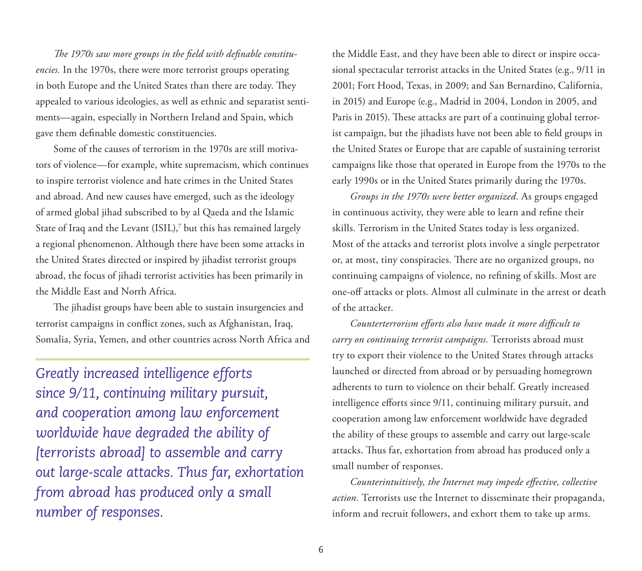*The 1970s saw more groups in the field with definable constituencies.* In the 1970s, there were more terrorist groups operating in both Europe and the United States than there are today. They appealed to various ideologies, as well as ethnic and separatist sentiments—again, especially in Northern Ireland and Spain, which gave them definable domestic constituencies.

Some of the causes of terrorism in the 1970s are still motivators of violence—for example, white supremacism, which continues to inspire terrorist violence and hate crimes in the United States and abroad. And new causes have emerged, such as the ideology of armed global jihad subscribed to by al Qaeda and the Islamic State of Iraq and the Levant (ISIL),<sup>7</sup> but this has remained largely a regional phenomenon. Although there have been some attacks in the United States directed or inspired by jihadist terrorist groups abroad, the focus of jihadi terrorist activities has been primarily in the Middle East and North Africa.

The jihadist groups have been able to sustain insurgencies and terrorist campaigns in conflict zones, such as Afghanistan, Iraq, Somalia, Syria, Yemen, and other countries across North Africa and

*Greatly increased intelligence efforts since 9/11, continuing military pursuit, and cooperation among law enforcement worldwide have degraded the ability of [terrorists abroad] to assemble and carry out large-scale attacks. Thus far, exhortation from abroad has produced only a small number of responses.*

the Middle East, and they have been able to direct or inspire occasional spectacular terrorist attacks in the United States (e.g., 9/11 in 2001; Fort Hood, Texas, in 2009; and San Bernardino, California, in 2015) and Europe (e.g., Madrid in 2004, London in 2005, and Paris in 2015). These attacks are part of a continuing global terrorist campaign, but the jihadists have not been able to field groups in the United States or Europe that are capable of sustaining terrorist campaigns like those that operated in Europe from the 1970s to the early 1990s or in the United States primarily during the 1970s.

*Groups in the 1970s were better organized.* As groups engaged in continuous activity, they were able to learn and refine their skills. Terrorism in the United States today is less organized. Most of the attacks and terrorist plots involve a single perpetrator or, at most, tiny conspiracies. There are no organized groups, no continuing campaigns of violence, no refining of skills. Most are one-off attacks or plots. Almost all culminate in the arrest or death of the attacker.

*Counterterrorism efforts also have made it more difficult to carry on continuing terrorist campaigns.* Terrorists abroad must try to export their violence to the United States through attacks launched or directed from abroad or by persuading homegrown adherents to turn to violence on their behalf. Greatly increased intelligence efforts since 9/11, continuing military pursuit, and cooperation among law enforcement worldwide have degraded the ability of these groups to assemble and carry out large-scale attacks. Thus far, exhortation from abroad has produced only a small number of responses.

*Counterintuitively, the Internet may impede effective, collective action.* Terrorists use the Internet to disseminate their propaganda, inform and recruit followers, and exhort them to take up arms.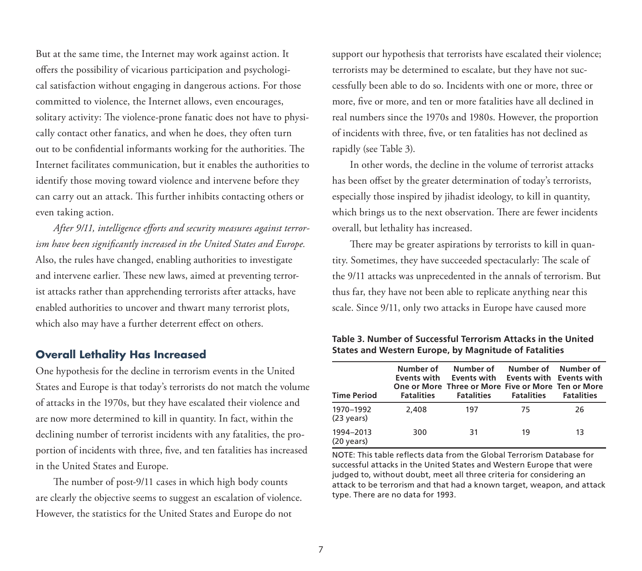But at the same time, the Internet may work against action. It offers the possibility of vicarious participation and psychological satisfaction without engaging in dangerous actions. For those committed to violence, the Internet allows, even encourages, solitary activity: The violence-prone fanatic does not have to physically contact other fanatics, and when he does, they often turn out to be confidential informants working for the authorities. The Internet facilitates communication, but it enables the authorities to identify those moving toward violence and intervene before they can carry out an attack. This further inhibits contacting others or even taking action.

*After 9/11, intelligence efforts and security measures against terrorism have been significantly increased in the United States and Europe.* Also, the rules have changed, enabling authorities to investigate and intervene earlier. These new laws, aimed at preventing terrorist attacks rather than apprehending terrorists after attacks, have enabled authorities to uncover and thwart many terrorist plots, which also may have a further deterrent effect on others.

#### **Overall Lethality Has Increased**

One hypothesis for the decline in terrorism events in the United States and Europe is that today's terrorists do not match the volume of attacks in the 1970s, but they have escalated their violence and are now more determined to kill in quantity. In fact, within the declining number of terrorist incidents with any fatalities, the proportion of incidents with three, five, and ten fatalities has increased in the United States and Europe.

The number of post-9/11 cases in which high body counts are clearly the objective seems to suggest an escalation of violence. However, the statistics for the United States and Europe do not

support our hypothesis that terrorists have escalated their violence; terrorists may be determined to escalate, but they have not successfully been able to do so. Incidents with one or more, three or more, five or more, and ten or more fatalities have all declined in real numbers since the 1970s and 1980s. However, the proportion of incidents with three, five, or ten fatalities has not declined as rapidly (see Table 3).

In other words, the decline in the volume of terrorist attacks has been offset by the greater determination of today's terrorists, especially those inspired by jihadist ideology, to kill in quantity, which brings us to the next observation. There are fewer incidents overall, but lethality has increased.

There may be greater aspirations by terrorists to kill in quantity. Sometimes, they have succeeded spectacularly: The scale of the 9/11 attacks was unprecedented in the annals of terrorism. But thus far, they have not been able to replicate anything near this scale. Since 9/11, only two attacks in Europe have caused more

**Table 3. Number of Successful Terrorism Attacks in the United States and Western Europe, by Magnitude of Fatalities**

| <b>Time Period</b>                | Number of<br>Events with<br><b>Fatalities</b> | Number of<br>Events with<br>One or More Three or More Five or More Ten or More<br><b>Fatalities</b> | Number of Number of<br><b>Events with Events with</b><br><b>Fatalities</b> | <b>Fatalities</b> |
|-----------------------------------|-----------------------------------------------|-----------------------------------------------------------------------------------------------------|----------------------------------------------------------------------------|-------------------|
| 1970–1992<br>$(23 \text{ years})$ | 2,408                                         | 197                                                                                                 | 75                                                                         | 26                |
| 1994-2013<br>$(20 \text{ years})$ | 300                                           | 31                                                                                                  | 19                                                                         | 13                |

NOTE: This table reflects data from the Global Terrorism Database for successful attacks in the United States and Western Europe that were judged to, without doubt, meet all three criteria for considering an attack to be terrorism and that had a known target, weapon, and attack type. There are no data for 1993.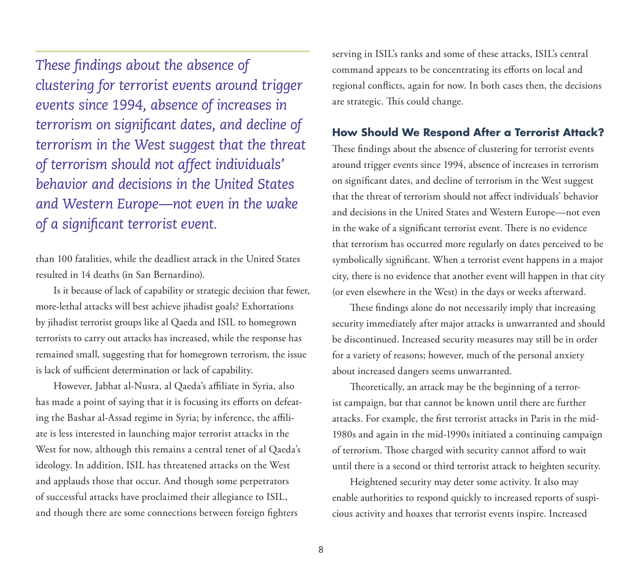*These findings about the absence of clustering for terrorist events around trigger events since 1994, absence of increases in terrorism on significant dates, and decline of terrorism in the West suggest that the threat of terrorism should not affect individuals' behavior and decisions in the United States and Western Europe—not even in the wake of a significant terrorist event.*

than 100 fatalities, while the deadliest attack in the United States resulted in 14 deaths (in San Bernardino).

Is it because of lack of capability or strategic decision that fewer, more-lethal attacks will best achieve jihadist goals? Exhortations by jihadist terrorist groups like al Qaeda and ISIL to homegrown terrorists to carry out attacks has increased, while the response has remained small, suggesting that for homegrown terrorism, the issue is lack of sufficient determination or lack of capability.

However, Jabhat al-Nusra, al Qaeda's affiliate in Syria, also has made a point of saying that it is focusing its efforts on defeating the Bashar al-Assad regime in Syria; by inference, the affiliate is less interested in launching major terrorist attacks in the West for now, although this remains a central tenet of al Qaeda's ideology. In addition, ISIL has threatened attacks on the West and applauds those that occur. And though some perpetrators of successful attacks have proclaimed their allegiance to ISIL, and though there are some connections between foreign fighters

serving in ISIL's ranks and some of these attacks, ISIL's central command appears to be concentrating its efforts on local and regional conflicts, again for now. In both cases then, the decisions are strategic. This could change.

#### **How Should We Respond After a Terrorist Attack?**

These findings about the absence of clustering for terrorist events around trigger events since 1994, absence of increases in terrorism on significant dates, and decline of terrorism in the West suggest that the threat of terrorism should not affect individuals' behavior and decisions in the United States and Western Europe—not even in the wake of a significant terrorist event. There is no evidence that terrorism has occurred more regularly on dates perceived to be symbolically significant. When a terrorist event happens in a major city, there is no evidence that another event will happen in that city (or even elsewhere in the West) in the days or weeks afterward.

These findings alone do not necessarily imply that increasing security immediately after major attacks is unwarranted and should be discontinued. Increased security measures may still be in order for a variety of reasons; however, much of the personal anxiety about increased dangers seems unwarranted.

Theoretically, an attack may be the beginning of a terrorist campaign, but that cannot be known until there are further attacks. For example, the first terrorist attacks in Paris in the mid-1980s and again in the mid-1990s initiated a continuing campaign of terrorism. Those charged with security cannot afford to wait until there is a second or third terrorist attack to heighten security.

Heightened security may deter some activity. It also may enable authorities to respond quickly to increased reports of suspicious activity and hoaxes that terrorist events inspire. Increased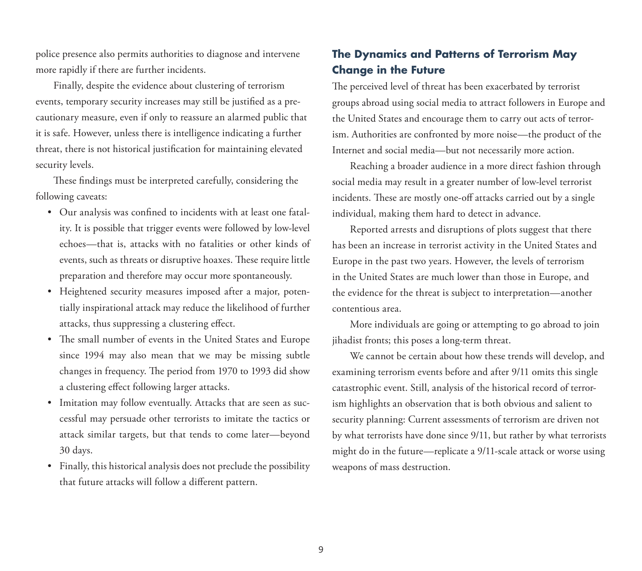police presence also permits authorities to diagnose and intervene more rapidly if there are further incidents.

Finally, despite the evidence about clustering of terrorism events, temporary security increases may still be justified as a precautionary measure, even if only to reassure an alarmed public that it is safe. However, unless there is intelligence indicating a further threat, there is not historical justification for maintaining elevated security levels.

These findings must be interpreted carefully, considering the following caveats:

- Our analysis was confined to incidents with at least one fatality. It is possible that trigger events were followed by low-level echoes—that is, attacks with no fatalities or other kinds of events, such as threats or disruptive hoaxes. These require little preparation and therefore may occur more spontaneously.
- Heightened security measures imposed after a major, potentially inspirational attack may reduce the likelihood of further attacks, thus suppressing a clustering effect.
- The small number of events in the United States and Europe since 1994 may also mean that we may be missing subtle changes in frequency. The period from 1970 to 1993 did show a clustering effect following larger attacks.
- Imitation may follow eventually. Attacks that are seen as successful may persuade other terrorists to imitate the tactics or attack similar targets, but that tends to come later—beyond 30 days.
- Finally, this historical analysis does not preclude the possibility that future attacks will follow a different pattern.

## **The Dynamics and Patterns of Terrorism May Change in the Future**

The perceived level of threat has been exacerbated by terrorist groups abroad using social media to attract followers in Europe and the United States and encourage them to carry out acts of terrorism. Authorities are confronted by more noise—the product of the Internet and social media—but not necessarily more action.

Reaching a broader audience in a more direct fashion through social media may result in a greater number of low-level terrorist incidents. These are mostly one-off attacks carried out by a single individual, making them hard to detect in advance.

Reported arrests and disruptions of plots suggest that there has been an increase in terrorist activity in the United States and Europe in the past two years. However, the levels of terrorism in the United States are much lower than those in Europe, and the evidence for the threat is subject to interpretation—another contentious area.

More individuals are going or attempting to go abroad to join jihadist fronts; this poses a long-term threat.

We cannot be certain about how these trends will develop, and examining terrorism events before and after 9/11 omits this single catastrophic event. Still, analysis of the historical record of terrorism highlights an observation that is both obvious and salient to security planning: Current assessments of terrorism are driven not by what terrorists have done since 9/11, but rather by what terrorists might do in the future—replicate a 9/11-scale attack or worse using weapons of mass destruction.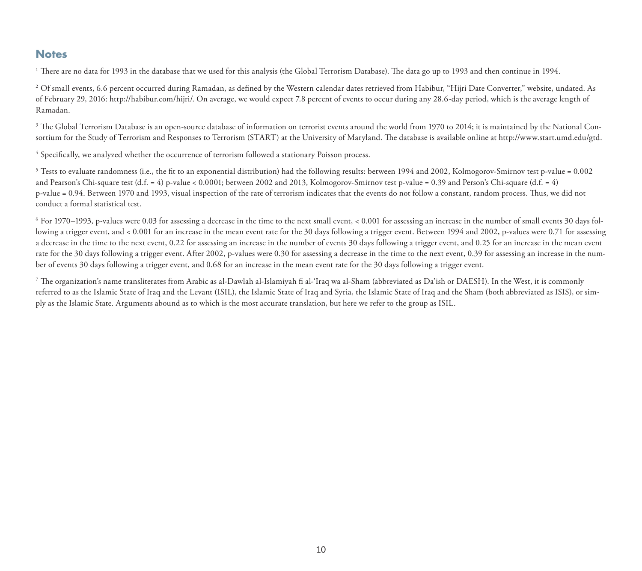#### **Notes**

<sup>1</sup> There are no data for 1993 in the database that we used for this analysis (the Global Terrorism Database). The data go up to 1993 and then continue in 1994.

<sup>2</sup> Of small events, 6.6 percent occurred during Ramadan, as defined by the Western calendar dates retrieved from Habibur, "Hijri Date Converter," website, undated. As of February 29, 2016: [http://habibur.com/hijri/.](http://habibur.com/hijri/) On average, we would expect 7.8 percent of events to occur during any 28.6-day period, which is the average length of Ramadan.

<sup>3</sup> The Global Terrorism Database is an open-source database of information on terrorist events around the world from 1970 to 2014; it is maintained by the National Consortium for the Study of Terrorism and Responses to Terrorism (START) at the University of Maryland. The database is available online at [http://www.start.umd.edu/gtd.](http://www.start.umd.edu/gtd)

4 Specifically, we analyzed whether the occurrence of terrorism followed a stationary Poisson process.

5 Tests to evaluate randomness (i.e., the fit to an exponential distribution) had the following results: between 1994 and 2002, Kolmogorov-Smirnov test p-value = 0.002 and Pearson's Chi-square test  $(d.f. = 4)$  p-value < 0.0001; between 2002 and 2013, Kolmogorov-Smirnov test p-value = 0.39 and Person's Chi-square  $(d.f. = 4)$ p-value = 0.94. Between 1970 and 1993, visual inspection of the rate of terrorism indicates that the events do not follow a constant, random process. Thus, we did not conduct a formal statistical test.

 $6$  For 1970–1993, p-values were 0.03 for assessing a decrease in the time to the next small event, < 0.001 for assessing an increase in the number of small events 30 days following a trigger event, and < 0.001 for an increase in the mean event rate for the 30 days following a trigger event. Between 1994 and 2002, p-values were 0.71 for assessing a decrease in the time to the next event, 0.22 for assessing an increase in the number of events 30 days following a trigger event, and 0.25 for an increase in the mean event rate for the 30 days following a trigger event. After 2002, p-values were 0.30 for assessing a decrease in the time to the next event, 0.39 for assessing an increase in the number of events 30 days following a trigger event, and 0.68 for an increase in the mean event rate for the 30 days following a trigger event.

7 The organization's name transliterates from Arabic as al-Dawlah al-Islamiyah fi al-'Iraq wa al-Sham (abbreviated as Da'ish or DAESH). In the West, it is commonly referred to as the Islamic State of Iraq and the Levant (ISIL), the Islamic State of Iraq and Syria, the Islamic State of Iraq and the Sham (both abbreviated as ISIS), or simply as the Islamic State. Arguments abound as to which is the most accurate translation, but here we refer to the group as ISIL.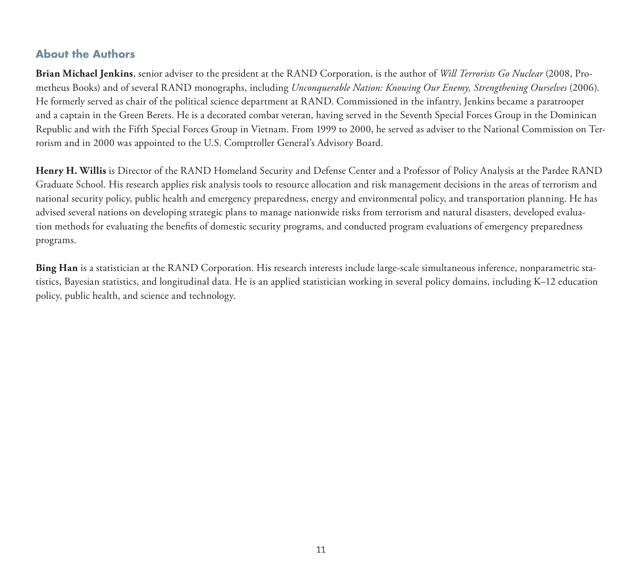#### **About the Authors**

**Brian Michael Jenkins**, senior adviser to the president at the RAND Corporation, is the author of *Will Terrorists Go Nuclear* (2008, Prometheus Books) and of several RAND monographs, including *Unconquerable Nation: Knowing Our Enemy, Strengthening Ourselves* (2006). He formerly served as chair of the political science department at RAND. Commissioned in the infantry, Jenkins became a paratrooper and a captain in the Green Berets. He is a decorated combat veteran, having served in the Seventh Special Forces Group in the Dominican Republic and with the Fifth Special Forces Group in Vietnam. From 1999 to 2000, he served as adviser to the National Commission on Terrorism and in 2000 was appointed to the U.S. Comptroller General's Advisory Board.

**Henry H. Willis** is Director of the RAND Homeland Security and Defense Center and a Professor of Policy Analysis at the Pardee RAND Graduate School. His research applies risk analysis tools to resource allocation and risk management decisions in the areas of terrorism and national security policy, public health and emergency preparedness, energy and environmental policy, and transportation planning. He has advised several nations on developing strategic plans to manage nationwide risks from terrorism and natural disasters, developed evaluation methods for evaluating the benefits of domestic security programs, and conducted program evaluations of emergency preparedness programs.

**Bing Han** is a statistician at the RAND Corporation. His research interests include large-scale simultaneous inference, nonparametric statistics, Bayesian statistics, and longitudinal data. He is an applied statistician working in several policy domains, including K–12 education policy, public health, and science and technology.